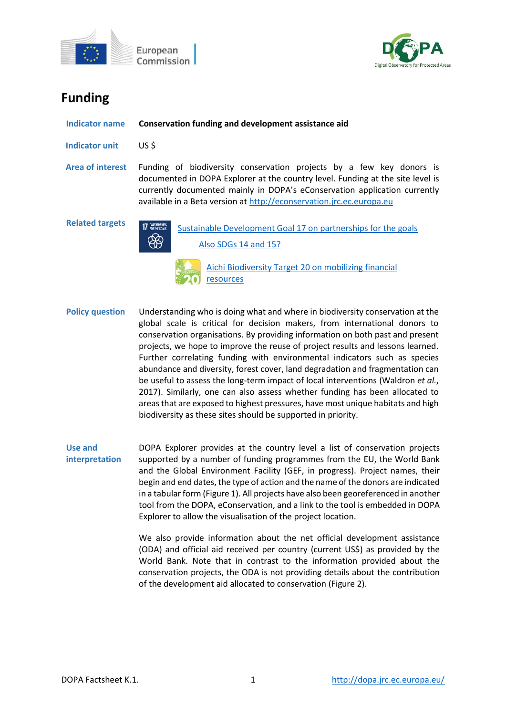



# **Funding**

| <b>Indicator name</b>   | Conservation funding and development assistance aid                                                                                                                                                                                                                                                         |
|-------------------------|-------------------------------------------------------------------------------------------------------------------------------------------------------------------------------------------------------------------------------------------------------------------------------------------------------------|
| Indicator unit          | US \$                                                                                                                                                                                                                                                                                                       |
| <b>Area of interest</b> | Funding of biodiversity conservation projects by a few key donors is<br>documented in DOPA Explorer at the country level. Funding at the site level is<br>currently documented mainly in DOPA's eConservation application currently<br>available in a Beta version at http://econservation.jrc.ec.europa.eu |
| <b>Related targets</b>  | <b>17 PARTMERSHIPS</b><br>Sustainable Development Goal 17 on partnerships for the goals<br>Also SDGs 14 and 15?<br>Aichi Biodiversity Target 20 on mobilizing financial                                                                                                                                     |

[resources](http://www.cbd.int/sp/targets/rationale/target-20/)

- **Policy question** Understanding who is doing what and where in biodiversity conservation at the global scale is critical for decision makers, from international donors to conservation organisations. By providing information on both past and present projects, we hope to improve the reuse of project results and lessons learned. Further correlating funding with environmental indicators such as species abundance and diversity, forest cover, land degradation and fragmentation can be useful to assess the long-term impact of local interventions (Waldron *et al.*, 2017). Similarly, one can also assess whether funding has been allocated to areas that are exposed to highest pressures, have most unique habitats and high biodiversity as these sites should be supported in priority.
- **Use and interpretation** DOPA Explorer provides at the country level a list of conservation projects supported by a number of funding programmes from the EU, the World Bank and the Global Environment Facility (GEF, in progress). Project names, their begin and end dates, the type of action and the name of the donors are indicated in a tabular form (Figure 1). All projects have also been georeferenced in another tool from the DOPA, eConservation, and a link to the tool is embedded in DOPA Explorer to allow the visualisation of the project location.

We also provide information about the net official development assistance (ODA) and official aid received per country (current US\$) as provided by the World Bank. Note that in contrast to the information provided about the conservation projects, the ODA is not providing details about the contribution of the development aid allocated to conservation (Figure 2).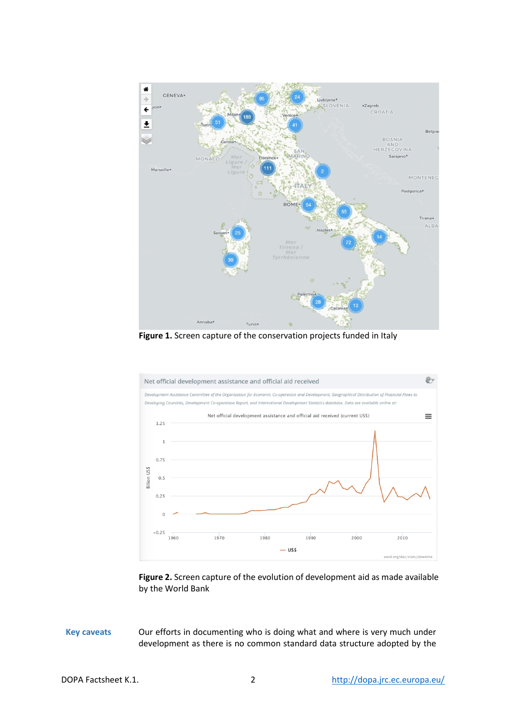

**Figure 1.** Screen capture of the conservation projects funded in Italy



**Figure 2.** Screen capture of the evolution of development aid as made available by the World Bank

**Key caveats** Our efforts in documenting who is doing what and where is very much under development as there is no common standard data structure adopted by the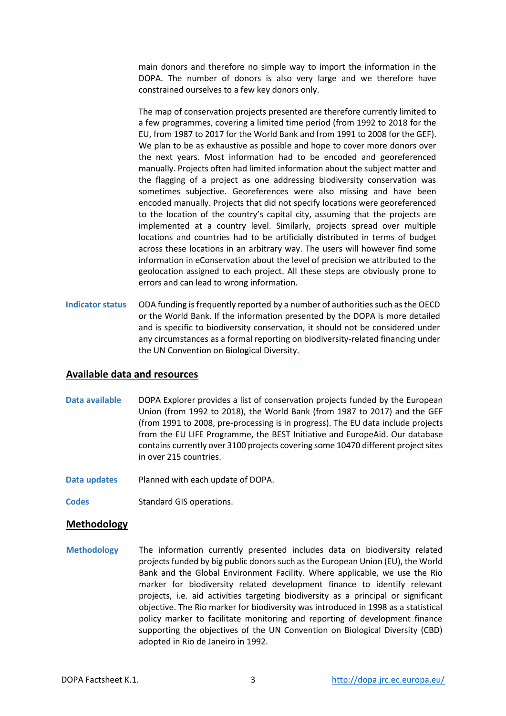main donors and therefore no simple way to import the information in the DOPA. The number of donors is also very large and we therefore have constrained ourselves to a few key donors only.

The map of conservation projects presented are therefore currently limited to a few programmes, covering a limited time period (from 1992 to 2018 for the EU, from 1987 to 2017 for the World Bank and from 1991 to 2008 for the GEF). We plan to be as exhaustive as possible and hope to cover more donors over the next years. Most information had to be encoded and georeferenced manually. Projects often had limited information about the subject matter and the flagging of a project as one addressing biodiversity conservation was sometimes subjective. Georeferences were also missing and have been encoded manually. Projects that did not specify locations were georeferenced to the location of the country's capital city, assuming that the projects are implemented at a country level. Similarly, projects spread over multiple locations and countries had to be artificially distributed in terms of budget across these locations in an arbitrary way. The users will however find some information in eConservation about the level of precision we attributed to the geolocation assigned to each project. All these steps are obviously prone to errors and can lead to wrong information.

**Indicator status** ODA funding is frequently reported by a number of authorities such as the OECD or the World Bank. If the information presented by the DOPA is more detailed and is specific to biodiversity conservation, it should not be considered under any circumstances as a formal reporting on biodiversity-related financing under the UN Convention on Biological Diversity.

# **Available data and resources**

- **Data available** DOPA Explorer provides a list of conservation projects funded by the European Union (from 1992 to 2018), the World Bank (from 1987 to 2017) and the GEF (from 1991 to 2008, pre-processing is in progress). The EU data include projects from the EU LIFE Programme, the BEST Initiative and EuropeAid. Our database contains currently over 3100 projects covering some 10470 different project sites in over 215 countries.
- **Data updates** Planned with each update of DOPA.
- **Codes** Standard GIS operations.

# **Methodology**

**Methodology** The information currently presented includes data on biodiversity related projects funded by big public donors such as the European Union (EU), the World Bank and the Global Environment Facility. Where applicable, we use the Rio marker for biodiversity related development finance to identify relevant projects, i.e. aid activities targeting biodiversity as a principal or significant objective. The Rio marker for biodiversity was introduced in 1998 as a statistical policy marker to facilitate monitoring and reporting of development finance supporting the objectives of the UN Convention on Biological Diversity (CBD) adopted in Rio de Janeiro in 1992.